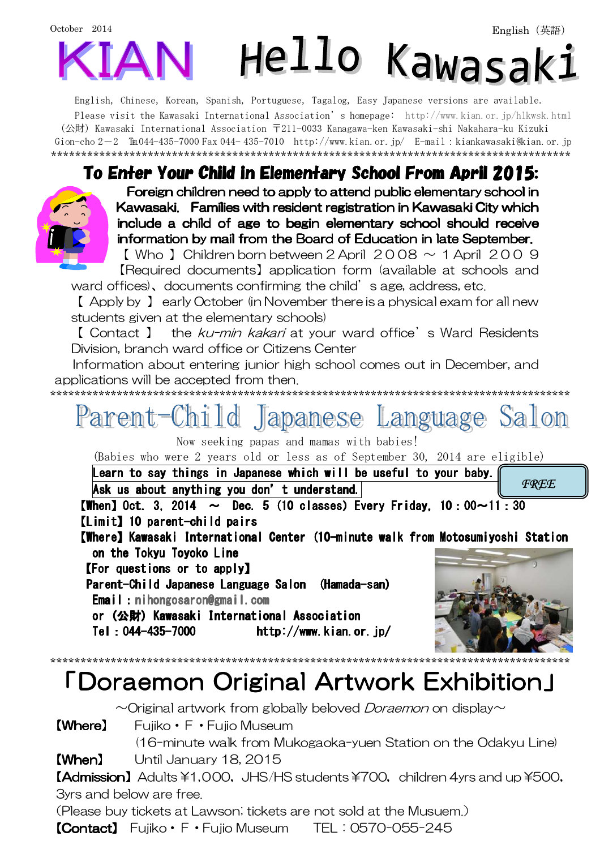## October 2014 Hello Kawasak:

English, Chinese, Korean, Spanish, Portuguese, Tagalog, Easy Japanese versions are available. Please visit the Kawasaki International Association's homepage: http://www.kian.or.jp/hlkwsk.html (公財) Kawasaki International Association 〒211-0033 Kanagawa-ken Kawasaki-shi Nakahara-ku Kizuki Gion-cho 2-2 ℡044-435-7000 Fax 044- 435-7010 http://www.kian.or.jp/ E-mail:kiankawasaki@kian.or.jp \*\*\*\*\*\*\*\*\*\*\*\*\*\*\*\*\*\*\*\*\*\*\*\*\*\*\*\*\*\*\*\*\*\*\*\*\*\*\*\*\*\*\*\*\*\*\*\*\*\*\*\*\*\*\*\*\*\*\*\*\*\*\*\*\*\*\*\*\*\*\*\*\*\*\*\*\*\*\*\*\*\*\*\*\*\*

## To Enter Your Child in Elementary School From April 2015:



 Foreign children need to apply to attend public elementary school in Kawasaki. Families with resident registration in Kawasaki City which include a child of age to begin elementary school should receive information by mail from the Board of Education in late September.

 $\lbrack$  Who I Children born between 2 April 2008  $\sim$  1 April 2009 【Required documents】application form (available at schools and ward offices), documents confirming the child's age, address, etc.

【 Apply by 】 early October (in November there is a physical exam for all new students given at the elementary schools)

【 Contact 】 the ku-min kakari at your ward office's Ward Residents Division, branch ward office or Citizens Center

\*\*\*\*\*\*\*\*\*\*\*\*\*\*\*\*\*\*\*\*\*\*\*\*\*\*\*\*\*\*\*\*\*\*\*\*\*\*\*\*\*\*\*\*\*\*\*\*\*\*\*\*\*\*\*\*\*\*\*\*\*\*\*\*\*\*\*\*\*\*\*\*\*\*\*\*\*\*\*\*\*\*\*\*\*\*

Information about entering junior high school comes out in December, and applications will be accepted from then.



Now seeking papas and mamas with babies!

(Babies who were 2 years old or less as of September 30, 2014 are eligible)

Learn to say things in Japanese which will be useful to your baby. **FREE** 

Ask us about anything you don't understand.

**[When]** Oct. 3, 2014  $\sim$  Dec. 5 (10 classes) Every Friday, 10:00 $\sim$ 11:30  $[Limit]$  10 parent-child pairs

[Where] Kawasaki International Center (10-minute walk from Motosumiyoshi Station on the Tokyu Toyoko Line

**[For questions or to apply]** 

Parent-Child Japanese Language Salon (Hamada-san) Email:nihongosaron@gmail.com

or (公財) Kawasaki International Association Tel:044-435-7000 http://www.kian.or.jp/ http://www.kian.or.jp/



## \*\*\*\*\*\*\*\*\*\*\*\*\*\*\*\*\*\*\*\*\*\*\*\*\*\*\*\*\*\*\*\*\*\*\*\*\*\*\*\*\*\*\*\*\*\*\*\*\*\*\*\*\*\*\*\*\*\*\*\*\*\*\*\*\*\*\*\*\*\*\*\*\*\*\*\*\*\*\*\*\*\*\*\*\*\* 「Doraemon Original Artwork Exhibition」

 $\sim$ Original artwork from globally beloved *Doraemon* on display $\sim$ 

【Where】 Fujiko・F・Fujio Museum

(16-minute walk from Mukogaoka-yuen Station on the Odakyu Line)

【When】 Until January 18, 2015

【Admission】Adults ¥1,000, JHS/HS students ¥700, children 4yrs and up ¥500, 3yrs and below are free.

(Please buy tickets at Lawson; tickets are not sold at the Musuem.)

**[Contact]** Fujiko · F · Fujio Museum TEL: 0570-055-245